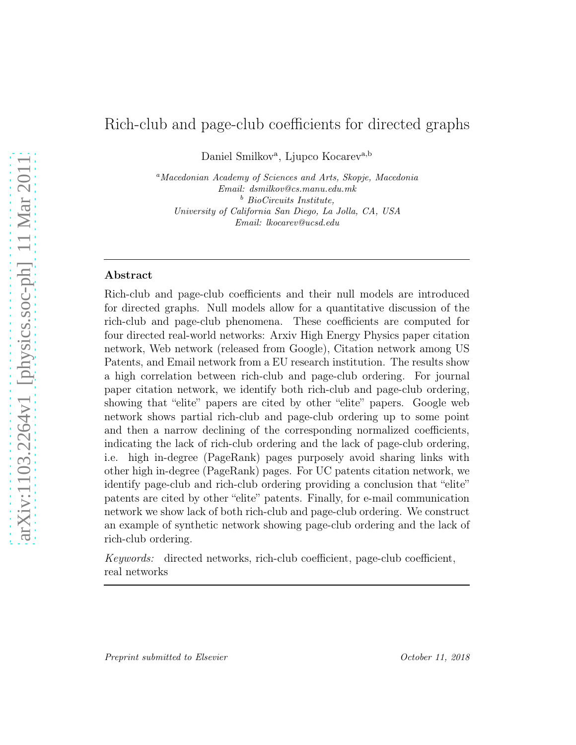# Rich-club and page-club coefficients for directed graphs

Daniel Smilkov<sup>a</sup>, Ljupco Kocarev<sup>a,b</sup>

<sup>a</sup>*Macedonian Academy of Sciences and Arts, Skopje, Macedonia Email: dsmilkov@cs.manu.edu.mk* <sup>b</sup> *BioCircuits Institute, University of California San Diego, La Jolla, CA, USA Email: lkocarev@ucsd.edu*

## Abstract

Rich-club and page-club coefficients and their null models are introduced for directed graphs. Null models allow for a quantitative discussion of the rich-club and page-club phenomena. These coefficients are computed for four directed real-world networks: Arxiv High Energy Physics paper citation network, Web network (released from Google), Citation network among US Patents, and Email network from a EU research institution. The results show a high correlation between rich-club and page-club ordering. For journal paper citation network, we identify both rich-club and page-club ordering, showing that "elite" papers are cited by other "elite" papers. Google web network shows partial rich-club and page-club ordering up to some point and then a narrow declining of the corresponding normalized coefficients, indicating the lack of rich-club ordering and the lack of page-club ordering, i.e. high in-degree (PageRank) pages purposely avoid sharing links with other high in-degree (PageRank) pages. For UC patents citation network, we identify page-club and rich-club ordering providing a conclusion that "elite" patents are cited by other "elite" patents. Finally, for e-mail communication network we show lack of both rich-club and page-club ordering. We construct an example of synthetic network showing page-club ordering and the lack of rich-club ordering.

Keywords: directed networks, rich-club coefficient, page-club coefficient, real networks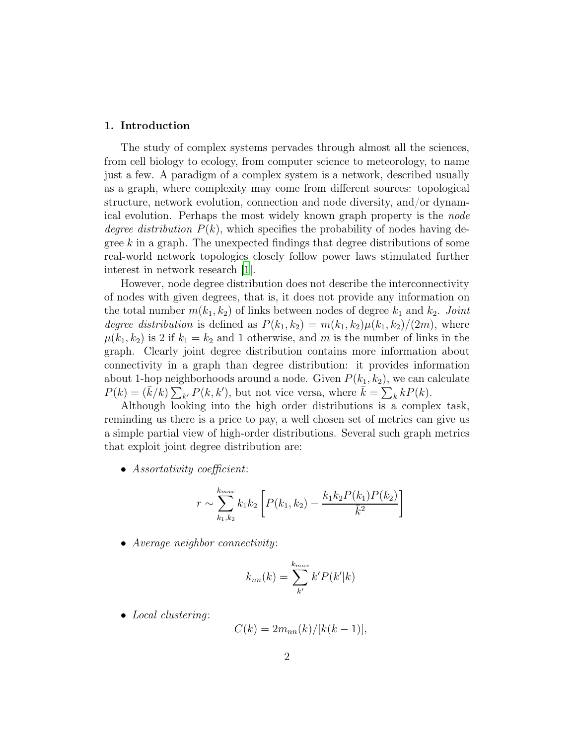#### 1. Introduction

The study of complex systems pervades through almost all the sciences, from cell biology to ecology, from computer science to meteorology, to name just a few. A paradigm of a complex system is a network, described usually as a graph, where complexity may come from different sources: topological structure, network evolution, connection and node diversity, and/or dynamical evolution. Perhaps the most widely known graph property is the node degree distribution  $P(k)$ , which specifies the probability of nodes having degree  $k$  in a graph. The unexpected findings that degree distributions of some real-world network topologies closely follow power laws stimulated further interest in network research [\[1](#page-17-0)].

However, node degree distribution does not describe the interconnectivity of nodes with given degrees, that is, it does not provide any information on the total number  $m(k_1, k_2)$  of links between nodes of degree  $k_1$  and  $k_2$ . Joint degree distribution is defined as  $P(k_1, k_2) = m(k_1, k_2)\mu(k_1, k_2)/(2m)$ , where  $\mu(k_1, k_2)$  is 2 if  $k_1 = k_2$  and 1 otherwise, and m is the number of links in the graph. Clearly joint degree distribution contains more information about connectivity in a graph than degree distribution: it provides information about 1-hop neighborhoods around a node. Given  $P(k_1, k_2)$ , we can calculate  $P(k) = (\bar{k}/k) \sum_{k'} P(k, k'),$  but not vice versa, where  $\bar{k} = \sum_{k} k P(k).$ 

Although looking into the high order distributions is a complex task, reminding us there is a price to pay, a well chosen set of metrics can give us a simple partial view of high-order distributions. Several such graph metrics that exploit joint degree distribution are:

• Assortativity coefficient:

$$
r \sim \sum_{k_1, k_2}^{k_{max}} k_1 k_2 \left[ P(k_1, k_2) - \frac{k_1 k_2 P(k_1) P(k_2)}{\bar{k}^2} \right]
$$

• Average neighbor connectivity:

$$
k_{nn}(k) = \sum_{k'}^{k_{max}} k' P(k'|k)
$$

• Local clustering:

$$
C(k) = 2m_{nn}(k)/[k(k-1)],
$$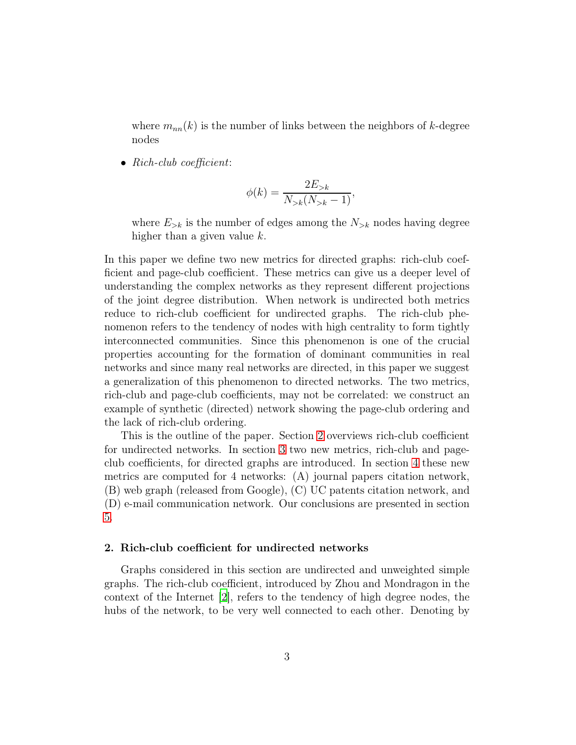where  $m_{nn}(k)$  is the number of links between the neighbors of k-degree nodes

• Rich-club coefficient:

$$
\phi(k) = \frac{2E_{>k}}{N_{>k}(N_{>k} - 1)},
$$

where  $E_{>k}$  is the number of edges among the  $N_{>k}$  nodes having degree higher than a given value k.

In this paper we define two new metrics for directed graphs: rich-club coefficient and page-club coefficient. These metrics can give us a deeper level of understanding the complex networks as they represent different projections of the joint degree distribution. When network is undirected both metrics reduce to rich-club coefficient for undirected graphs. The rich-club phenomenon refers to the tendency of nodes with high centrality to form tightly interconnected communities. Since this phenomenon is one of the crucial properties accounting for the formation of dominant communities in real networks and since many real networks are directed, in this paper we suggest a generalization of this phenomenon to directed networks. The two metrics, rich-club and page-club coefficients, may not be correlated: we construct an example of synthetic (directed) network showing the page-club ordering and the lack of rich-club ordering.

This is the outline of the paper. Section [2](#page-2-0) overviews rich-club coefficient for undirected networks. In section [3](#page-4-0) two new metrics, rich-club and pageclub coefficients, for directed graphs are introduced. In section [4](#page-10-0) these new metrics are computed for 4 networks: (A) journal papers citation network, (B) web graph (released from Google), (C) UC patents citation network, and (D) e-mail communication network. Our conclusions are presented in section [5.](#page-16-0)

# <span id="page-2-0"></span>2. Rich-club coefficient for undirected networks

Graphs considered in this section are undirected and unweighted simple graphs. The rich-club coefficient, introduced by Zhou and Mondragon in the context of the Internet [\[2](#page-17-1)], refers to the tendency of high degree nodes, the hubs of the network, to be very well connected to each other. Denoting by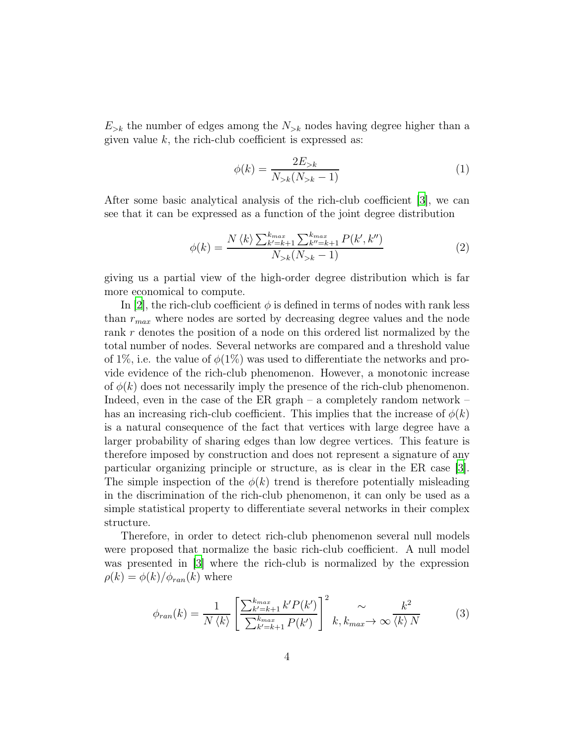$E_{\geq k}$  the number of edges among the  $N_{\geq k}$  nodes having degree higher than a given value  $k$ , the rich-club coefficient is expressed as:

<span id="page-3-0"></span>
$$
\phi(k) = \frac{2E_{>k}}{N_{>k}(N_{>k} - 1)}\tag{1}
$$

After some basic analytical analysis of the rich-club coefficient [\[3](#page-17-2)], we can see that it can be expressed as a function of the joint degree distribution

$$
\phi(k) = \frac{N \langle k \rangle \sum_{k'=k+1}^{k_{max}} \sum_{k''=k+1}^{k_{max}} P(k', k'')}{N_{>k}(N_{>k}-1)} \tag{2}
$$

giving us a partial view of the high-order degree distribution which is far more economical to compute.

In [\[2](#page-17-1)], the rich-club coefficient  $\phi$  is defined in terms of nodes with rank less than  $r_{max}$  where nodes are sorted by decreasing degree values and the node rank r denotes the position of a node on this ordered list normalized by the total number of nodes. Several networks are compared and a threshold value of 1%, i.e. the value of  $\phi(1\%)$  was used to differentiate the networks and provide evidence of the rich-club phenomenon. However, a monotonic increase of  $\phi(k)$  does not necessarily imply the presence of the rich-club phenomenon. Indeed, even in the case of the ER graph – a completely random network – has an increasing rich-club coefficient. This implies that the increase of  $\phi(k)$ is a natural consequence of the fact that vertices with large degree have a larger probability of sharing edges than low degree vertices. This feature is therefore imposed by construction and does not represent a signature of any particular organizing principle or structure, as is clear in the ER case [\[3\]](#page-17-2). The simple inspection of the  $\phi(k)$  trend is therefore potentially misleading in the discrimination of the rich-club phenomenon, it can only be used as a simple statistical property to differentiate several networks in their complex structure.

Therefore, in order to detect rich-club phenomenon several null models were proposed that normalize the basic rich-club coefficient. A null model was presented in [\[3](#page-17-2)] where the rich-club is normalized by the expression  $\rho(k) = \phi(k)/\phi_{ran}(k)$  where

$$
\phi_{ran}(k) = \frac{1}{N \langle k \rangle} \left[ \frac{\sum_{k'=k+1}^{k_{max}} k' P(k')}{\sum_{k'=k+1}^{k_{max}} P(k')} \right]^2 \sim \frac{k^2}{k, k_{max}} \sim \frac{k^2}{\langle k \rangle N}
$$
(3)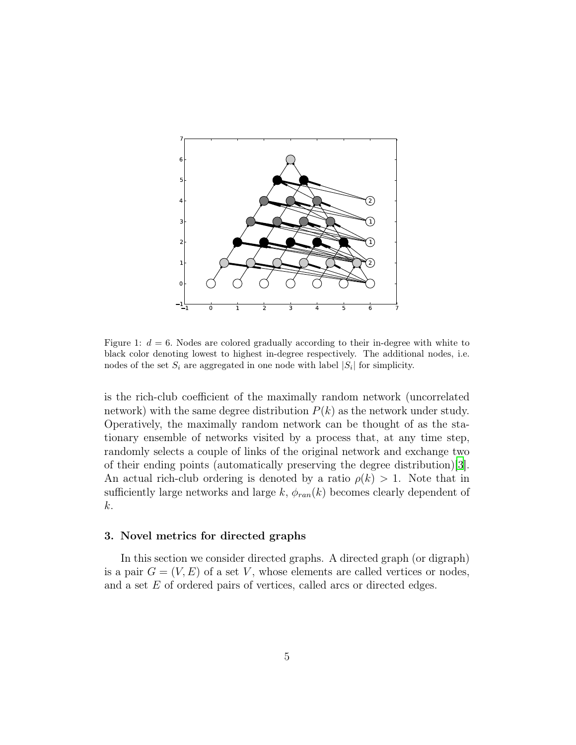

<span id="page-4-1"></span>Figure 1:  $d = 6$ . Nodes are colored gradually according to their in-degree with white to black color denoting lowest to highest in-degree respectively. The additional nodes, i.e. nodes of the set  $S_i$  are aggregated in one node with label  $|S_i|$  for simplicity.

is the rich-club coefficient of the maximally random network (uncorrelated network) with the same degree distribution  $P(k)$  as the network under study. Operatively, the maximally random network can be thought of as the stationary ensemble of networks visited by a process that, at any time step, randomly selects a couple of links of the original network and exchange two of their ending points (automatically preserving the degree distribution)[\[3\]](#page-17-2). An actual rich-club ordering is denoted by a ratio  $\rho(k) > 1$ . Note that in sufficiently large networks and large k,  $\phi_{ran}(k)$  becomes clearly dependent of k.

#### <span id="page-4-0"></span>3. Novel metrics for directed graphs

In this section we consider directed graphs. A directed graph (or digraph) is a pair  $G = (V, E)$  of a set V, whose elements are called vertices or nodes, and a set E of ordered pairs of vertices, called arcs or directed edges.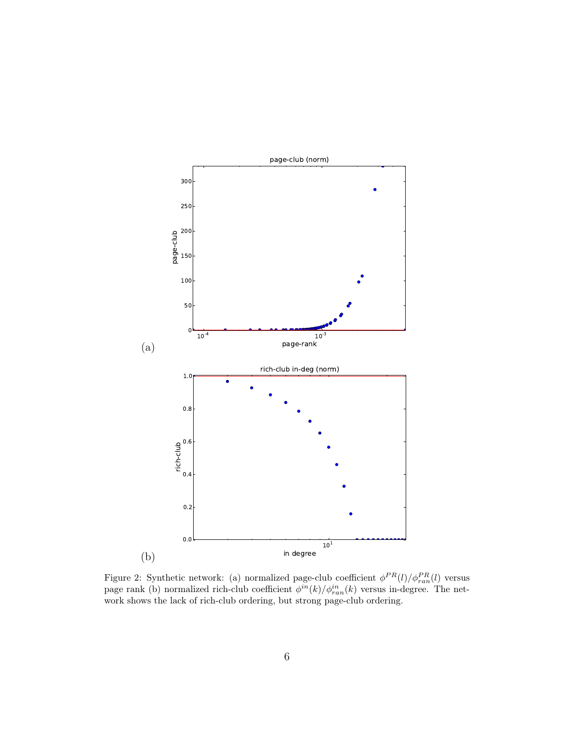

<span id="page-5-0"></span>Figure 2: Synthetic network: (a) normalized page-club coefficient  $\phi^{PR}(l)/\phi_{ran}^{PR}(l)$  versus page rank (b) normalized rich-club coefficient  $\phi^{in}(k)/\phi^{in}_{ran}(k)$  versus in-degree. The network shows the lack of rich-club ordering, but strong page-club ordering.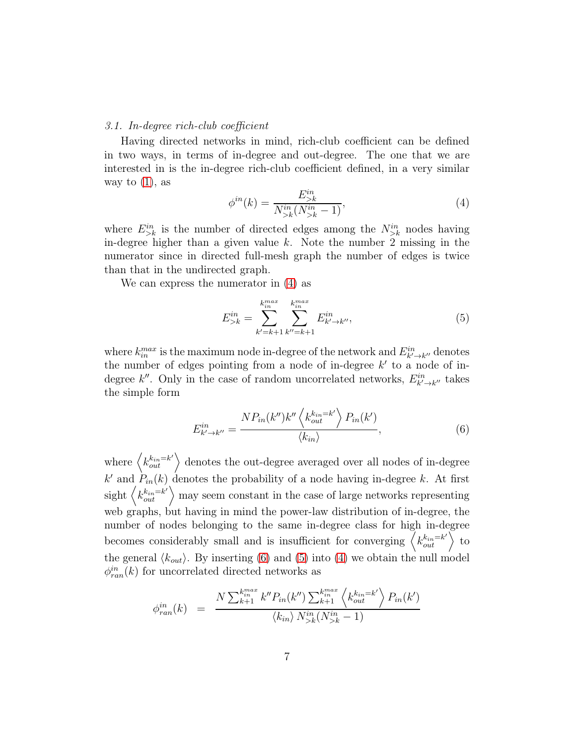#### 3.1. In-degree rich-club coefficient

Having directed networks in mind, rich-club coefficient can be defined in two ways, in terms of in-degree and out-degree. The one that we are interested in is the in-degree rich-club coefficient defined, in a very similar way to  $(1)$ , as

<span id="page-6-0"></span>
$$
\phi^{in}(k) = \frac{E_{>k}^{in}}{N_{>k}^{in}(N_{>k}^{in} - 1)},
$$
\n(4)

where  $E_{\geq k}^{in}$  is the number of directed edges among the  $N_{\geq k}^{in}$  nodes having in-degree higher than a given value  $k$ . Note the number 2 missing in the numerator since in directed full-mesh graph the number of edges is twice than that in the undirected graph.

We can express the numerator in [\(4\)](#page-6-0) as

<span id="page-6-2"></span>
$$
E_{>k}^{in} = \sum_{k'=k+1}^{k_{in}^{max}} \sum_{k''=k+1}^{k_{in}^{max}} E_{k'\to k''}^{in},
$$
 (5)

where  $k_{in}^{max}$  is the maximum node in-degree of the network and  $E_{k'\to k''}^{in}$  denotes the number of edges pointing from a node of in-degree  $k'$  to a node of indegree k''. Only in the case of random uncorrelated networks,  $E_{k'\to k''}^{in}$  takes the simple form

<span id="page-6-1"></span>
$$
E_{k'\to k''}^{in} = \frac{NP_{in}(k'')k''\left\langle k_{out}^{k_{in}-k'}\right\rangle P_{in}(k')}{\langle k_{in}\rangle},\tag{6}
$$

where  $\langle k_{out}^{k_{in}=k'} \rangle$  denotes the out-degree averaged over all nodes of in-degree  $k'$  and  $P_{in}(k)$  denotes the probability of a node having in-degree k. At first sight  $\left\langle k_{out}^{k_{in}=k^{\prime}}\right\rangle$  may seem constant in the case of large networks representing web graphs, but having in mind the power-law distribution of in-degree, the number of nodes belonging to the same in-degree class for high in-degree becomes considerably small and is insufficient for converging  $\langle k_{out}^{k_{in}=k'} \rangle$  to the general  $\langle k_{out} \rangle$ . By inserting [\(6\)](#page-6-1) and [\(5\)](#page-6-2) into [\(4\)](#page-6-0) we obtain the null model  $\phi_{ran}^{in}(k)$  for uncorrelated directed networks as

$$
\phi_{ran}^{in}(k) = \frac{N \sum_{k=1}^{k_{in}^{max}} k'' P_{in}(k'') \sum_{k=1}^{k_{in}^{max}} \left\langle k_{out}^{k_{in} = k'} \right\rangle P_{in}(k')}{\left\langle k_{in} \right\rangle N_{&}^{in}(N_{&}^{in} - 1)}
$$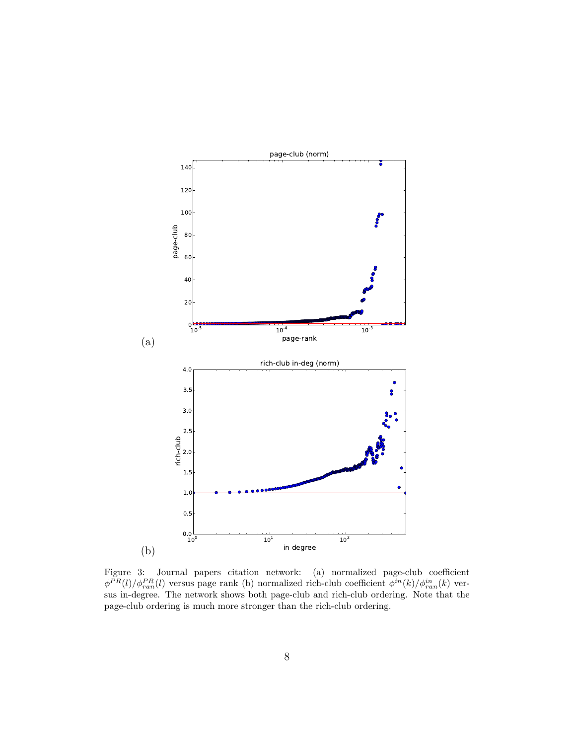

<span id="page-7-0"></span>Figure 3: Journal papers citation network: (a) normalized page-club coefficient  $\phi^{PR}(l)/\phi_{ran}^{PR}(l)$  versus page rank (b) normalized rich-club coefficient  $\phi^{in}(k)/\phi_{ran}^{in}(k)$  versus in-degree. The network shows both page-club and rich-club ordering. Note that the page-club ordering is much more stronger than the rich-club ordering.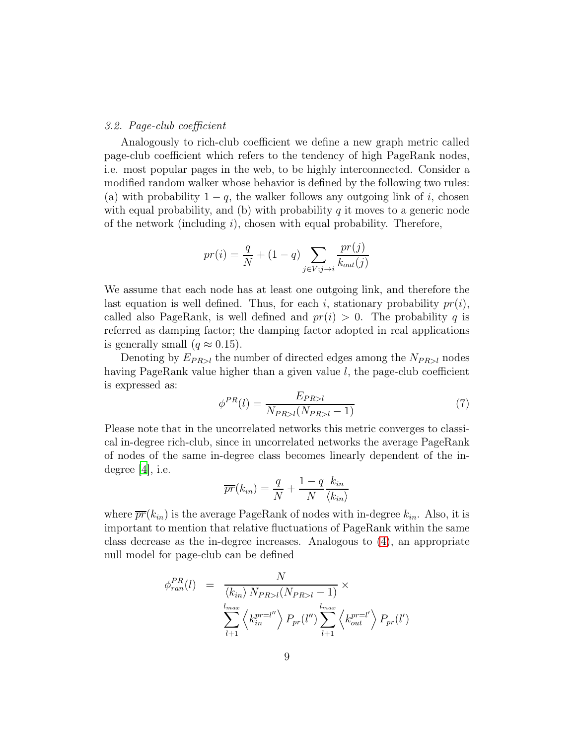#### 3.2. Page-club coefficient

Analogously to rich-club coefficient we define a new graph metric called page-club coefficient which refers to the tendency of high PageRank nodes, i.e. most popular pages in the web, to be highly interconnected. Consider a modified random walker whose behavior is defined by the following two rules: (a) with probability  $1 - q$ , the walker follows any outgoing link of i, chosen with equal probability, and (b) with probability  $q$  it moves to a generic node of the network (including  $i$ ), chosen with equal probability. Therefore,

$$
pr(i) = \frac{q}{N} + (1 - q) \sum_{j \in V; j \to i} \frac{pr(j)}{k_{out}(j)}
$$

We assume that each node has at least one outgoing link, and therefore the last equation is well defined. Thus, for each i, stationary probability  $pr(i)$ , called also PageRank, is well defined and  $pr(i) > 0$ . The probability q is referred as damping factor; the damping factor adopted in real applications is generally small  $(q \approx 0.15)$ .

Denoting by  $E_{PR>l}$  the number of directed edges among the  $N_{PR>l}$  nodes having PageRank value higher than a given value l, the page-club coefficient is expressed as:

$$
\phi^{PR}(l) = \frac{E_{PR>l}}{N_{PR>l}(N_{PR>l} - 1)}\tag{7}
$$

Please note that in the uncorrelated networks this metric converges to classical in-degree rich-club, since in uncorrelated networks the average PageRank of nodes of the same in-degree class becomes linearly dependent of the indegree  $|4|$ , i.e.

$$
\overline{pr}(k_{in}) = \frac{q}{N} + \frac{1-q}{N} \frac{k_{in}}{\langle k_{in} \rangle}
$$

where  $\overline{pr}(k_{in})$  is the average PageRank of nodes with in-degree  $k_{in}$ . Also, it is important to mention that relative fluctuations of PageRank within the same class decrease as the in-degree increases. Analogous to [\(4\)](#page-6-0), an appropriate null model for page-club can be defined

$$
\phi_{ran}^{PR}(l) = \frac{N}{\langle k_{in} \rangle N_{PR>l}(N_{PR>l} - 1)} \times \frac{\langle k_{in} \rangle N_{PR>l}(N_{PR>l} - 1)}{\sum_{l+1}^{l_{max}} \langle k_{in}^{pr=l''} \rangle P_{pr}(l'') \sum_{l+1}^{l_{max}} \langle k_{out}^{pr=l'} \rangle P_{pr}(l')
$$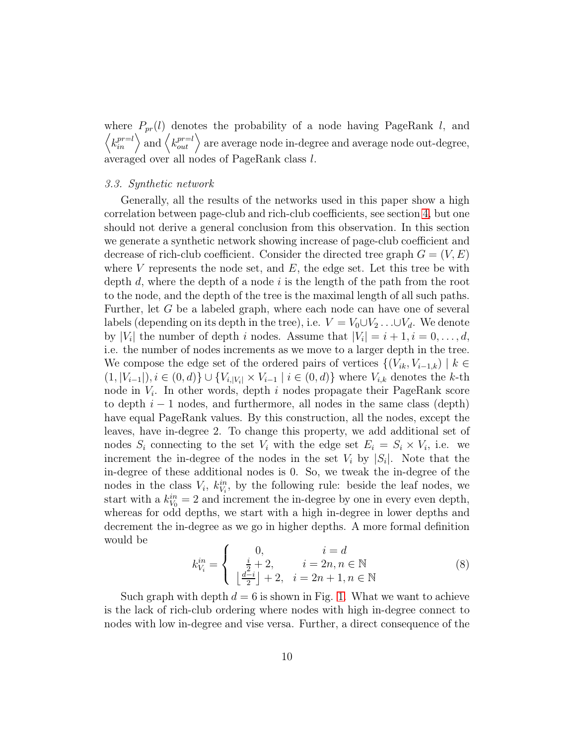where  $P_{pr}(l)$  denotes the probability of a node having PageRank l, and  $\langle k_{in}^{pr=l} \rangle$  and  $\langle k_{out}^{pr=l} \rangle$  are average node in-degree and average node out-degree, averaged over all nodes of PageRank class l.

#### 3.3. Synthetic network

Generally, all the results of the networks used in this paper show a high correlation between page-club and rich-club coefficients, see section [4,](#page-10-0) but one should not derive a general conclusion from this observation. In this section we generate a synthetic network showing increase of page-club coefficient and decrease of rich-club coefficient. Consider the directed tree graph  $G = (V, E)$ where  $V$  represents the node set, and  $E$ , the edge set. Let this tree be with depth d, where the depth of a node i is the length of the path from the root to the node, and the depth of the tree is the maximal length of all such paths. Further, let G be a labeled graph, where each node can have one of several labels (depending on its depth in the tree), i.e.  $V = V_0 \cup V_2 \dots \cup V_d$ . We denote by | $V_i$ | the number of depth i nodes. Assume that  $|V_i| = i + 1, i = 0, \ldots, d$ , i.e. the number of nodes increments as we move to a larger depth in the tree. We compose the edge set of the ordered pairs of vertices  $\{(V_{ik}, V_{i-1,k}) \mid k \in$  $(1, |V_{i-1}|), i \in (0, d) \} \cup \{V_{i, |V_i|} \times V_{i-1} \mid i \in (0, d)\}$  where  $V_{i,k}$  denotes the k-th node in  $V_i$ . In other words, depth i nodes propagate their PageRank score to depth  $i - 1$  nodes, and furthermore, all nodes in the same class (depth) have equal PageRank values. By this construction, all the nodes, except the leaves, have in-degree 2. To change this property, we add additional set of nodes  $S_i$  connecting to the set  $V_i$  with the edge set  $E_i = S_i \times V_i$ , i.e. we increment the in-degree of the nodes in the set  $V_i$  by  $|S_i|$ . Note that the in-degree of these additional nodes is 0. So, we tweak the in-degree of the nodes in the class  $V_i$ ,  $k_{V_i}^{in}$ , by the following rule: beside the leaf nodes, we start with a  $k_{V_0}^{in} = 2$  and increment the in-degree by one in every even depth, whereas for odd depths, we start with a high in-degree in lower depths and decrement the in-degree as we go in higher depths. A more formal definition would be

$$
k_{V_i}^{in} = \begin{cases} 0, & i = d \\ \frac{i}{2} + 2, & i = 2n, n \in \mathbb{N} \\ \lfloor \frac{d-i}{2} \rfloor + 2, & i = 2n + 1, n \in \mathbb{N} \end{cases}
$$
(8)

Such graph with depth  $d = 6$  is shown in Fig. [1.](#page-4-1) What we want to achieve is the lack of rich-club ordering where nodes with high in-degree connect to nodes with low in-degree and vise versa. Further, a direct consequence of the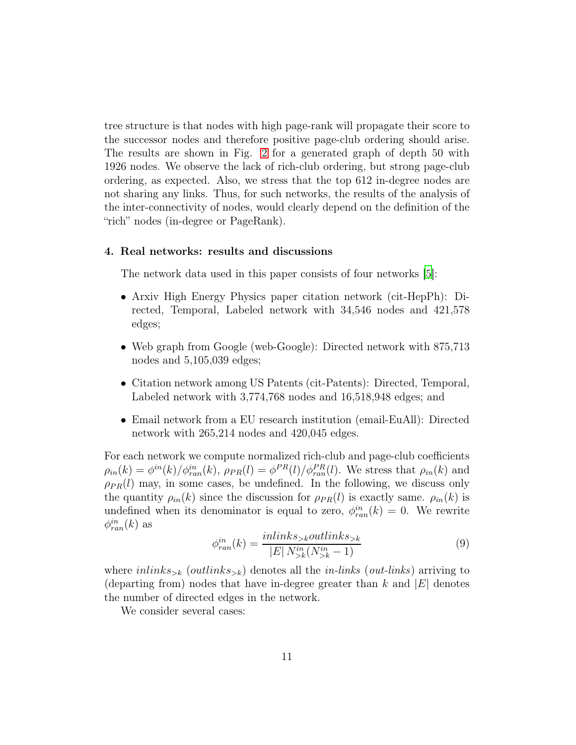tree structure is that nodes with high page-rank will propagate their score to the successor nodes and therefore positive page-club ordering should arise. The results are shown in Fig. [2](#page-5-0) for a generated graph of depth 50 with 1926 nodes. We observe the lack of rich-club ordering, but strong page-club ordering, as expected. Also, we stress that the top 612 in-degree nodes are not sharing any links. Thus, for such networks, the results of the analysis of the inter-connectivity of nodes, would clearly depend on the definition of the "rich" nodes (in-degree or PageRank).

#### <span id="page-10-0"></span>4. Real networks: results and discussions

The network data used in this paper consists of four networks [\[5\]](#page-17-4):

- Arxiv High Energy Physics paper citation network (cit-HepPh): Directed, Temporal, Labeled network with 34,546 nodes and 421,578 edges;
- Web graph from Google (web-Google): Directed network with 875,713 nodes and 5,105,039 edges;
- Citation network among US Patents (cit-Patents): Directed, Temporal, Labeled network with 3,774,768 nodes and 16,518,948 edges; and
- Email network from a EU research institution (email-EuAll): Directed network with 265,214 nodes and 420,045 edges.

For each network we compute normalized rich-club and page-club coefficients  $\rho_{in}(k) = \phi^{in}(k) / \phi^{in}_{ran}(k)$ ,  $\rho_{PR}(l) = \phi^{PR}(l) / \phi^{PR}_{ran}(l)$ . We stress that  $\rho_{in}(k)$  and  $\rho_{PR}(l)$  may, in some cases, be undefined. In the following, we discuss only the quantity  $\rho_{in}(k)$  since the discussion for  $\rho_{PR}(l)$  is exactly same.  $\rho_{in}(k)$  is undefined when its denominator is equal to zero,  $\phi_{ran}^{in}(k) = 0$ . We rewrite  $\phi_{ran}^{in}(k)$  as

$$
\phi_{ran}^{in}(k) = \frac{inlinks_{>k}outlinks_{>k}}{|E| N_{>k}^{in}(N_{>k}^{in} - 1)}
$$
\n
$$
(9)
$$

where  $inlinks_{\geq k}$  (outlinks<sub> $\geq k$ </sub>) denotes all the *in-links* (out-links) arriving to (departing from) nodes that have in-degree greater than  $k$  and  $|E|$  denotes the number of directed edges in the network.

We consider several cases: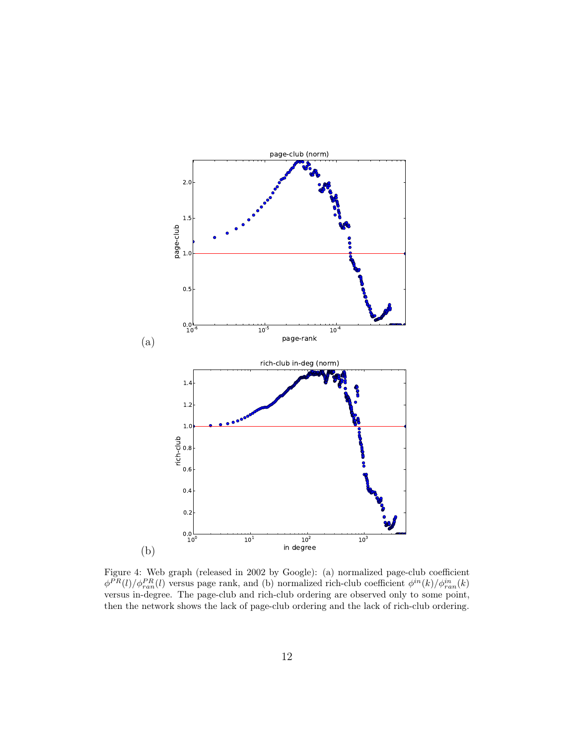

<span id="page-11-0"></span>Figure 4: Web graph (released in 2002 by Google): (a) normalized page-club coefficient  $\phi^{PR}(l)/\phi_{ran}^{PR}(l)$  versus page rank, and (b) normalized rich-club coefficient  $\phi^{in}(k)/\phi_{ran}^{in}(k)$ versus in-degree. The page-club and rich-club ordering are observed only to some point, then the network shows the lack of page-club ordering and the lack of rich-club ordering.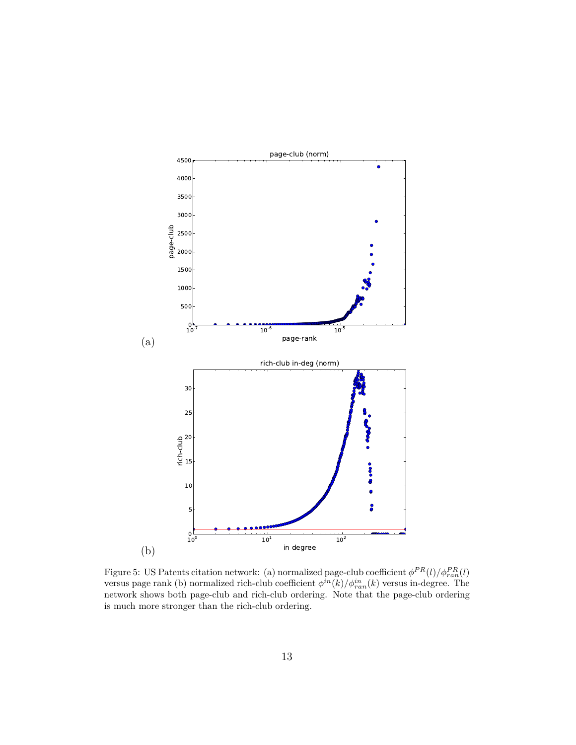

<span id="page-12-0"></span>Figure 5: US Patents citation network: (a) normalized page-club coefficient  $\phi^{PR}(l)/\phi_{ran}^{PR}(l)$ versus page rank (b) normalized rich-club coefficient  $\phi^{in}(k)/\phi^{in}_{ran}(k)$  versus in-degree. The network shows both page-club and rich-club ordering. Note that the page-club ordering is much more stronger than the rich-club ordering.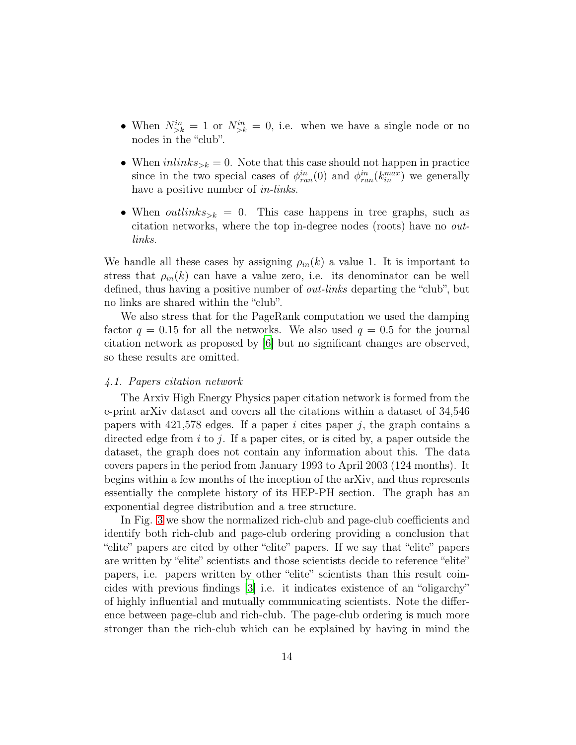- When  $N_{\geq k}^{in} = 1$  or  $N_{\geq k}^{in} = 0$ , i.e. when we have a single node or no nodes in the "club".
- When  $inlinks_{\geq k} = 0$ . Note that this case should not happen in practice since in the two special cases of  $\phi_{ran}^{in}(0)$  and  $\phi_{ran}^{in}(k_{in}^{max})$  we generally have a positive number of *in-links*.
- When *outlinks*<sub> $> k = 0$ . This case happens in tree graphs, such as</sub> citation networks, where the top in-degree nodes (roots) have no outlinks.

We handle all these cases by assigning  $\rho_{in}(k)$  a value 1. It is important to stress that  $\rho_{in}(k)$  can have a value zero, i.e. its denominator can be well defined, thus having a positive number of out-links departing the "club", but no links are shared within the "club".

We also stress that for the PageRank computation we used the damping factor  $q = 0.15$  for all the networks. We also used  $q = 0.5$  for the journal citation network as proposed by [\[6](#page-17-5)] but no significant changes are observed, so these results are omitted.

## 4.1. Papers citation network

The Arxiv High Energy Physics paper citation network is formed from the e-print arXiv dataset and covers all the citations within a dataset of 34,546 papers with  $421,578$  edges. If a paper i cites paper j, the graph contains a directed edge from i to j. If a paper cites, or is cited by, a paper outside the dataset, the graph does not contain any information about this. The data covers papers in the period from January 1993 to April 2003 (124 months). It begins within a few months of the inception of the arXiv, and thus represents essentially the complete history of its HEP-PH section. The graph has an exponential degree distribution and a tree structure.

In Fig. [3](#page-7-0) we show the normalized rich-club and page-club coefficients and identify both rich-club and page-club ordering providing a conclusion that "elite" papers are cited by other "elite" papers. If we say that "elite" papers are written by "elite" scientists and those scientists decide to reference "elite" papers, i.e. papers written by other "elite" scientists than this result coincides with previous findings [\[3](#page-17-2)] i.e. it indicates existence of an "oligarchy" of highly influential and mutually communicating scientists. Note the difference between page-club and rich-club. The page-club ordering is much more stronger than the rich-club which can be explained by having in mind the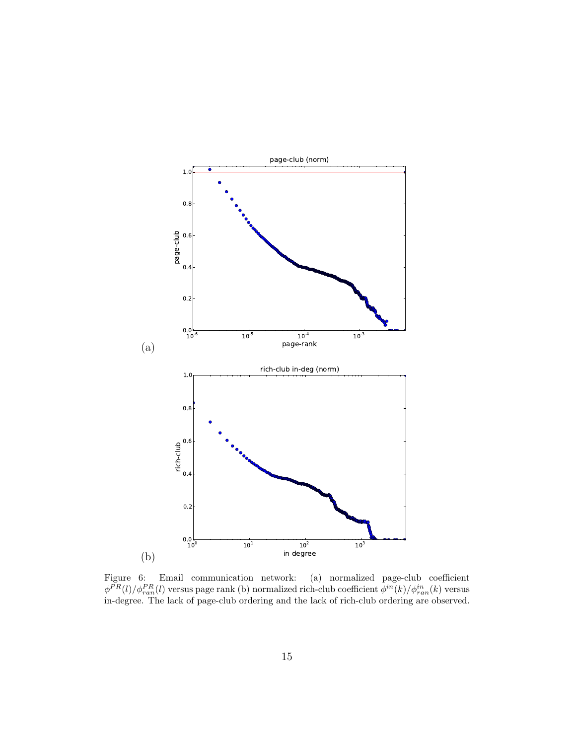

<span id="page-14-0"></span>Figure 6: Email communication network: (a) normalized page-club coefficient  $\phi^{PR}(l)/\phi_{ran}^{PR}(l)$  versus page rank (b) normalized rich-club coefficient  $\phi^{in}(k)/\phi_{ran}^{in}(k)$  versus in-degree. The lack of page-club ordering and the lack of rich-club ordering are observed.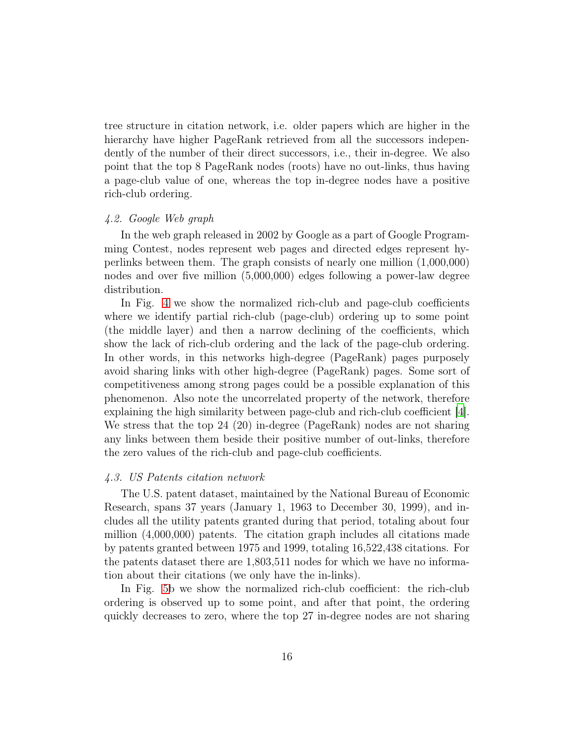tree structure in citation network, i.e. older papers which are higher in the hierarchy have higher PageRank retrieved from all the successors independently of the number of their direct successors, i.e., their in-degree. We also point that the top 8 PageRank nodes (roots) have no out-links, thus having a page-club value of one, whereas the top in-degree nodes have a positive rich-club ordering.

#### 4.2. Google Web graph

In the web graph released in 2002 by Google as a part of Google Programming Contest, nodes represent web pages and directed edges represent hyperlinks between them. The graph consists of nearly one million (1,000,000) nodes and over five million (5,000,000) edges following a power-law degree distribution.

In Fig. [4](#page-11-0) we show the normalized rich-club and page-club coefficients where we identify partial rich-club (page-club) ordering up to some point (the middle layer) and then a narrow declining of the coefficients, which show the lack of rich-club ordering and the lack of the page-club ordering. In other words, in this networks high-degree (PageRank) pages purposely avoid sharing links with other high-degree (PageRank) pages. Some sort of competitiveness among strong pages could be a possible explanation of this phenomenon. Also note the uncorrelated property of the network, therefore explaining the high similarity between page-club and rich-club coefficient [\[4\]](#page-17-3). We stress that the top 24 (20) in-degree (PageRank) nodes are not sharing any links between them beside their positive number of out-links, therefore the zero values of the rich-club and page-club coefficients.

#### 4.3. US Patents citation network

The U.S. patent dataset, maintained by the National Bureau of Economic Research, spans 37 years (January 1, 1963 to December 30, 1999), and includes all the utility patents granted during that period, totaling about four million (4,000,000) patents. The citation graph includes all citations made by patents granted between 1975 and 1999, totaling 16,522,438 citations. For the patents dataset there are 1,803,511 nodes for which we have no information about their citations (we only have the in-links).

In Fig. [5b](#page-12-0) we show the normalized rich-club coefficient: the rich-club ordering is observed up to some point, and after that point, the ordering quickly decreases to zero, where the top 27 in-degree nodes are not sharing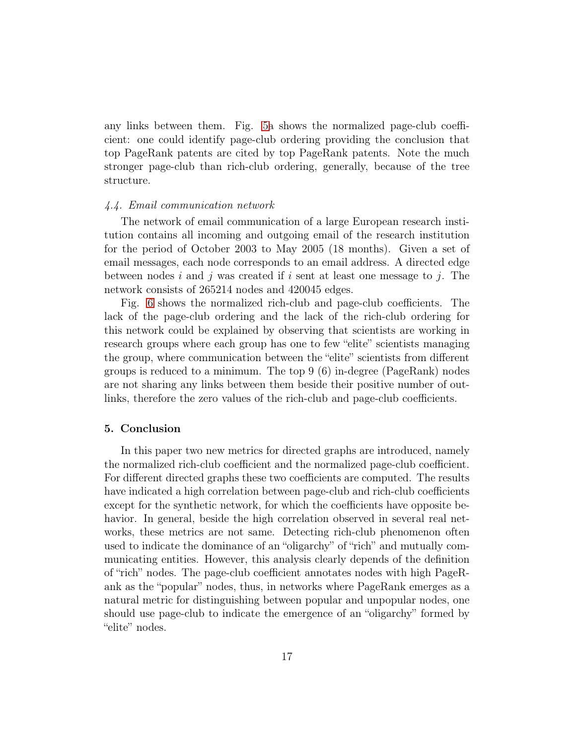any links between them. Fig. [5a](#page-12-0) shows the normalized page-club coefficient: one could identify page-club ordering providing the conclusion that top PageRank patents are cited by top PageRank patents. Note the much stronger page-club than rich-club ordering, generally, because of the tree structure.

# 4.4. Email communication network

The network of email communication of a large European research institution contains all incoming and outgoing email of the research institution for the period of October 2003 to May 2005 (18 months). Given a set of email messages, each node corresponds to an email address. A directed edge between nodes i and j was created if i sent at least one message to j. The network consists of 265214 nodes and 420045 edges.

Fig. [6](#page-14-0) shows the normalized rich-club and page-club coefficients. The lack of the page-club ordering and the lack of the rich-club ordering for this network could be explained by observing that scientists are working in research groups where each group has one to few "elite" scientists managing the group, where communication between the "elite" scientists from different groups is reduced to a minimum. The top 9 (6) in-degree (PageRank) nodes are not sharing any links between them beside their positive number of outlinks, therefore the zero values of the rich-club and page-club coefficients.

# <span id="page-16-0"></span>5. Conclusion

In this paper two new metrics for directed graphs are introduced, namely the normalized rich-club coefficient and the normalized page-club coefficient. For different directed graphs these two coefficients are computed. The results have indicated a high correlation between page-club and rich-club coefficients except for the synthetic network, for which the coefficients have opposite behavior. In general, beside the high correlation observed in several real networks, these metrics are not same. Detecting rich-club phenomenon often used to indicate the dominance of an "oligarchy" of "rich" and mutually communicating entities. However, this analysis clearly depends of the definition of "rich" nodes. The page-club coefficient annotates nodes with high PageRank as the "popular" nodes, thus, in networks where PageRank emerges as a natural metric for distinguishing between popular and unpopular nodes, one should use page-club to indicate the emergence of an "oligarchy" formed by "elite" nodes.